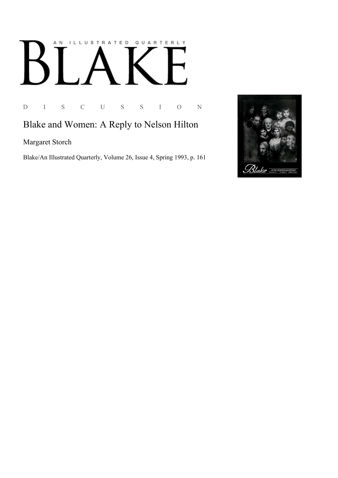## ILLUSTRATED QUARTERLY A N K

D I S C U S S I O N

## Blake and Women: A Reply to Nelson Hilton

Margaret Storch

Blake/An Illustrated Quarterly, Volume 26, Issue 4, Spring 1993, p. 161